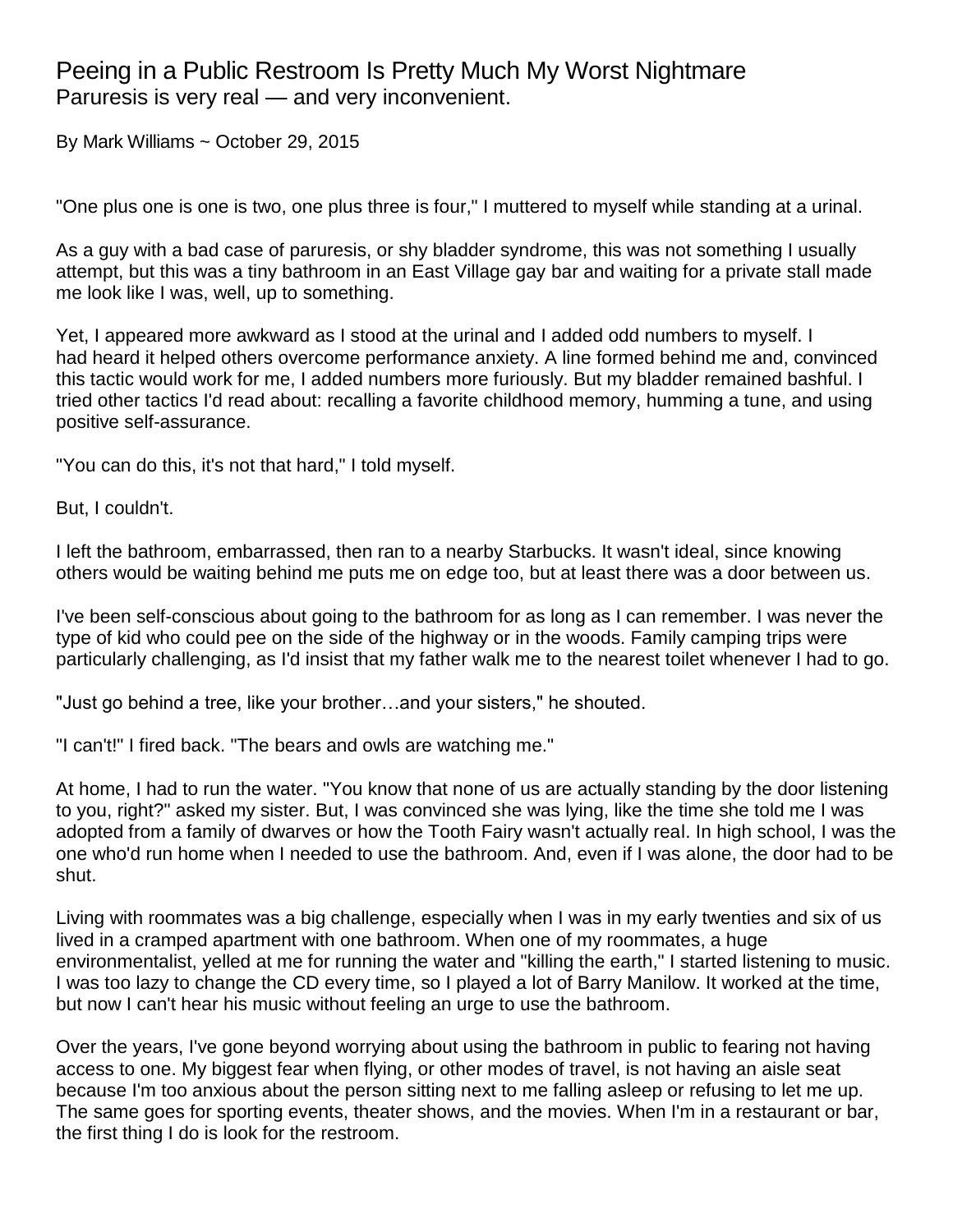## Peeing in a Public Restroom Is Pretty Much My Worst Nightmare Paruresis is very real — and very inconvenient.

By [Mark Williams](http://www.goodhousekeeping.com/author/14652/mark-williams/) ~ October 29, 2015

"One plus one is one is two, one plus three is four," I muttered to myself while standing at a urinal.

As a guy with a bad case of [paruresis,](http://paruresis.org/) or shy bladder syndrome, this was not something I usually attempt, but this was a tiny bathroom in an East Village gay bar and waiting for a private stall made me look like I was, well, up to something.

Yet, I appeared more awkward as I stood at the urinal and I added odd numbers to myself. I had heard it helped others overcome performance anxiety. A line formed behind me and, convinced this tactic would work for me, I added numbers more furiously. But my bladder remained bashful. I tried other tactics I'd read about: recalling a favorite childhood memory, humming a tune, and using positive self-assurance.

"You can do this, it's not that hard," I told myself.

But, I couldn't.

I left the bathroom, embarrassed, then ran to a nearby Starbucks. It wasn't ideal, since knowing others would be waiting behind me puts me on edge too, but at least there was a door between us.

I've been self-conscious about going to the bathroom for as long as I can remember. I was never the type of kid who could pee on the side of the highway or in the woods. Family camping trips were particularly challenging, as I'd insist that my father walk me to the nearest toilet whenever I had to go.

"Just go behind a tree, like your brother…and your sisters," he shouted.

"I can't!" I fired back. "The bears and owls are watching me."

At home, I had to run the water. "You know that none of us are actually standing by the door listening to you, right?" asked my sister. But, I was convinced she was lying, like the time she told me I was adopted from a family of dwarves or how the Tooth Fairy wasn't actually real. In high school, I was the one who'd run home when I needed to use the bathroom. And, even if I was alone, the door had to be shut.

Living with roommates was a big challenge, especially when I was in my early twenties and six of us lived in a cramped apartment with one bathroom. When one of my roommates, a huge environmentalist, yelled at me for running the water and "killing the earth," I started listening to music. I was too lazy to change the CD every time, so I played a lot of Barry Manilow. It worked at the time, but now I can't hear his music without feeling an urge to use the bathroom.

Over the years, I've gone beyond worrying about using the bathroom in public to fearing not having access to one. My biggest fear when flying, or other modes of travel, is not having an aisle seat because I'm too anxious about the person sitting next to me falling asleep or refusing to let me up. The same goes for sporting events, theater shows, and the movies. When I'm in a restaurant or bar, the first thing I do is look for the restroom.